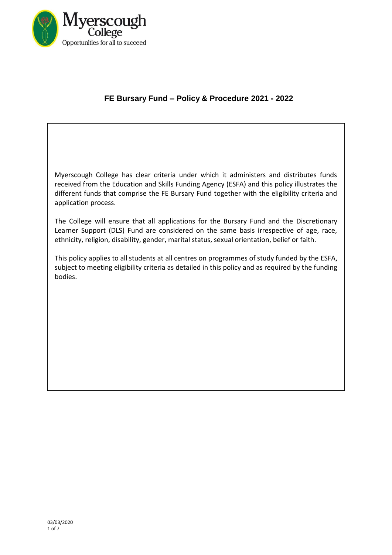

# **FE Bursary Fund – Policy & Procedure 2021 - 2022**

Myerscough College has clear criteria under which it administers and distributes funds received from the Education and Skills Funding Agency (ESFA) and this policy illustrates the different funds that comprise the FE Bursary Fund together with the eligibility criteria and application process.

The College will ensure that all applications for the Bursary Fund and the Discretionary Learner Support (DLS) Fund are considered on the same basis irrespective of age, race, ethnicity, religion, disability, gender, marital status, sexual orientation, belief or faith.

This policy applies to all students at all centres on programmes of study funded by the ESFA, subject to meeting eligibility criteria as detailed in this policy and as required by the funding bodies.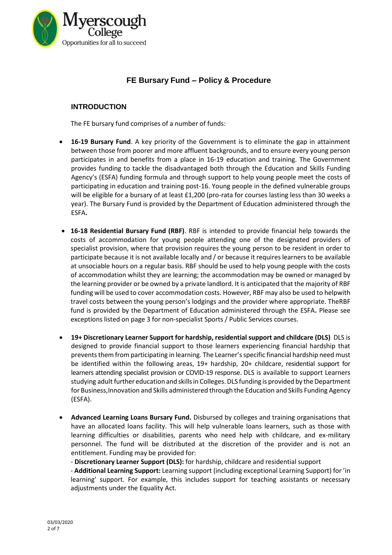

# **FE Bursary Fund – Policy & Procedure**

# **INTRODUCTION**

The FE bursary fund comprises of a number of funds:

- **16-19 Bursary Fund**. A key priority of the Government is to eliminate the gap in attainment between those from poorer and more affluent backgrounds, and to ensure every young person participates in and benefits from a place in 16-19 education and training. The Government provides funding to tackle the disadvantaged both through the Education and Skills Funding Agency's (ESFA) funding formula and through support to help young people meet the costs of participating in education and training post-16. Young people in the defined vulnerable groups will be eligible for a bursary of at least £1,200 (pro-rata for courses lasting less than 30 weeks a year). The Bursary Fund is provided by the Department of Education administered through the ESFA**.**
- **16-18 Residential Bursary Fund (RBF)**. RBF is intended to provide financial help towards the costs of accommodation for young people attending one of the designated providers of specialist provision, where that provision requires the young person to be resident in order to participate because it is not available locally and / or because it requires learnersto be available at unsociable hours on a regular basis. RBF should be used to help young people with the costs of accommodation whilst they are learning; the accommodation may be owned or managed by the learning provider or be owned by a private landlord. It is anticipated that the majority of RBF funding will be used to cover accommodation costs. However, RBF may also be used to helpwith travel costs between the young person's lodgings and the provider where appropriate. TheRBF fund is provided by the Department of Education administered through the ESFA**.** Please see exceptions listed on page 3 for non-specialist Sports / Public Services courses.
- **19+ Discretionary Learner Support for hardship, residential support and childcare (DLS)** DLS is designed to provide financial support to those learners experiencing financial hardship that prevents them from participating in learning. The Learner's specific financial hardship need must be identified within the following areas, 19+ hardship, 20+ childcare, residential support for learners attending specialist provision or COVID-19 response. DLS is available to support Learners studying adult further education and skillsin Colleges.DLS funding is provided by the Department for Business,Innovation and Skills administered through the Education and Skills Funding Agency (ESFA).
- **Advanced Learning Loans Bursary Fund.** Disbursed by colleges and training organisations that have an allocated loans facility. This will help vulnerable loans learners, such as those with learning difficulties or disabilities, parents who need help with childcare, and ex-military personnel. The fund will be distributed at the discretion of the provider and is not an entitlement. Funding may be provided for:

- **Discretionary Learner Support (DLS):** for hardship, childcare and residential support

- **Additional Learning Support:** Learning support (including exceptional Learning Support) for 'in learning' support. For example, this includes support for teaching assistants or necessary adjustments under the Equality Act.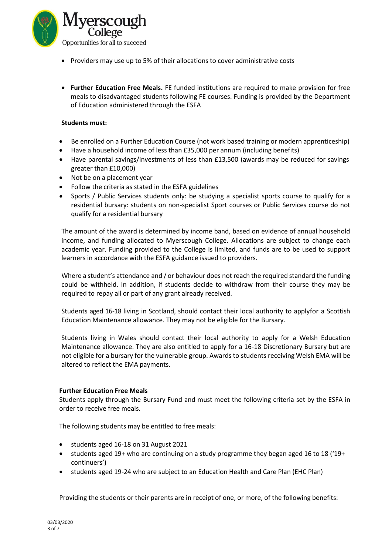

- Providers may use up to 5% of their allocations to cover administrative costs
- **Further Education Free Meals.** FE funded institutions are required to make provision for free meals to disadvantaged students following FE courses. Funding is provided by the Department of Education administered through the ESFA

## **Students must:**

- Be enrolled on a Further Education Course (not work based training or modern apprenticeship)
- Have a household income of less than £35,000 per annum (including benefits)
- Have parental savings/investments of less than £13,500 (awards may be reduced for savings greater than £10,000)
- Not be on a placement year
- Follow the criteria as stated in the ESFA guidelines
- Sports / Public Services students only: be studying a specialist sports course to qualify for a residential bursary: students on non-specialist Sport courses or Public Services course do not qualify for a residential bursary

The amount of the award is determined by income band, based on evidence of annual household income, and funding allocated to Myerscough College. Allocations are subject to change each academic year. Funding provided to the College is limited, and funds are to be used to support learners in accordance with the ESFA guidance issued to providers.

Where a student's attendance and / or behaviour does not reach the required standard the funding could be withheld. In addition, if students decide to withdraw from their course they may be required to repay all or part of any grant already received.

Students aged 16-18 living in Scotland, should contact their local authority to applyfor a Scottish Education Maintenance allowance. They may not be eligible for the Bursary.

Students living in Wales should contact their local authority to apply for a Welsh Education Maintenance allowance. They are also entitled to apply for a 16-18 Discretionary Bursary but are not eligible for a bursary for the vulnerable group. Awards to students receiving Welsh EMA will be altered to reflect the EMA payments.

## **Further Education Free Meals**

Students apply through the Bursary Fund and must meet the following criteria set by the ESFA in order to receive free meals.

The following students may be entitled to free meals:

- students aged 16-18 on 31 August 2021
- students aged 19+ who are continuing on a study programme they began aged 16 to 18 ('19+ continuers')
- students aged 19-24 who are subject to an Education Health and Care Plan (EHC Plan)

Providing the students or their parents are in receipt of one, or more, of the following benefits: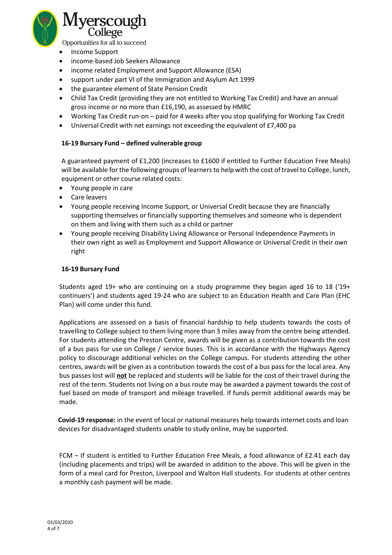

Opportunities for all to succeed

- Income Support
- income-based Job Seekers Allowance
- income related Employment and Support Allowance (ESA)
- support under part VI of the Immigration and Asylum Act 1999
- the guarantee element of State Pension Credit
- Child Tax Credit (providing they are not entitled to Working Tax Credit) and have an annual gross income or no more than £16,190, as assessed by HMRC
- Working Tax Credit run-on paid for 4 weeks after you stop qualifying for Working Tax Credit
- Universal Credit with net earnings not exceeding the equivalent of £7,400 pa

## **16-19 Bursary Fund – defined vulnerable group**

A guaranteed payment of £1,200 (increases to £1600 if entitled to Further Education Free Meals) will be available for the following groups of learnersto help with the cost of travel to College, lunch, equipment or other course related costs:

- Young people in care
- Care leavers
- Young people receiving Income Support, or Universal Credit because they are financially supporting themselves or financially supporting themselves and someone who is dependent on them and living with them such as a child or partner
- Young people receiving Disability Living Allowance or Personal Independence Payments in their own right as well as Employment and Support Allowance or Universal Credit in their own right

#### **16-19 Bursary Fund**

Students aged 19+ who are continuing on a study programme they began aged 16 to 18 ('19+ continuers') and students aged 19-24 who are subject to an Education Health and Care Plan (EHC Plan) will come under this fund.

Applications are assessed on a basis of financial hardship to help students towards the costs of travelling to College subject to them living more than 3 miles away from the centre being attended. For students attending the Preston Centre, awards will be given as a contribution towards the cost of a bus pass for use on College / service buses. This is in accordance with the Highways Agency policy to discourage additional vehicles on the College campus. For students attending the other centres, awards will be given as a contribution towards the cost of a bus pass for the local area. Any bus passes lost will **not** be replaced and students will be liable for the cost of their travel during the rest of the term. Students not living on a bus route may be awarded a payment towards the cost of fuel based on mode of transport and mileage travelled. If funds permit additional awards may be made.

**Covid-19 response:** in the event of local or national measures help towards internet costs and loan devices for disadvantaged students unable to study online, may be supported.

FCM – If student is entitled to Further Education Free Meals, a food allowance of £2.41 each day (including placements and trips) will be awarded in addition to the above. This will be given in the form of a meal card for Preston, Liverpool and Walton Hall students. For students at other centres a monthly cash payment will be made.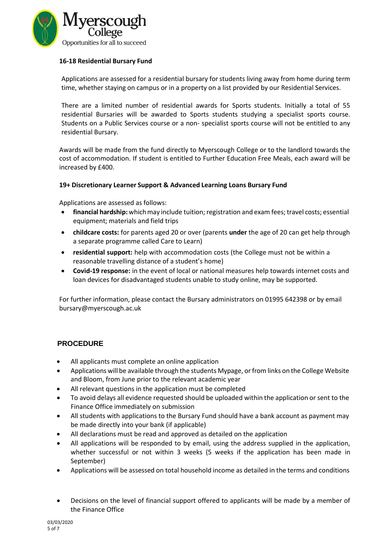

## **16-18 Residential Bursary Fund**

Applications are assessed for a residential bursary forstudents living away from home during term time, whether staying on campus or in a property on a list provided by our Residential Services.

There are a limited number of residential awards for Sports students. Initially a total of 55 residential Bursaries will be awarded to Sports students studying a specialist sports course. Students on a Public Services course or a non- specialist sports course will not be entitled to any residential Bursary.

Awards will be made from the fund directly to Myerscough College or to the landlord towards the cost of accommodation. If student is entitled to Further Education Free Meals, each award will be increased by £400.

## **19+ Discretionary Learner Support & Advanced Learning Loans Bursary Fund**

Applications are assessed as follows:

- **financial hardship:** whichmay include tuition; registration and exam fees; travel costs; essential equipment; materials and field trips
- **childcare costs:** for parents aged 20 or over (parents **under** the age of 20 can get help through a separate programme called Care to Learn)
- **residential support:** help with accommodation costs (the College must not be within a reasonable travelling distance of a student's home)
- **Covid-19 response:** in the event of local or national measures help towards internet costs and loan devices for disadvantaged students unable to study online, may be supported.

For further information, please contact the Bursary administrators on 01995 642398 or by email [bursary@myerscough.ac.uk](mailto:bursary@myerscough.ac.uk)

# **PROCEDURE**

- All applicants must complete an online application
- Applications will be available through the students Mypage, or from links on the College Website and Bloom, from June prior to the relevant academic year
- All relevant questions in the application must be completed
- To avoid delays all evidence requested should be uploaded within the application or sent to the Finance Office immediately on submission
- All students with applications to the Bursary Fund should have a bank account as payment may be made directly into your bank (if applicable)
- All declarations must be read and approved as detailed on the application
- All applications will be responded to by email, using the address supplied in the application, whether successful or not within 3 weeks (5 weeks if the application has been made in September)
- Applications will be assessed on total household income as detailed in the terms and conditions
- Decisions on the level of financial support offered to applicants will be made by a member of the Finance Office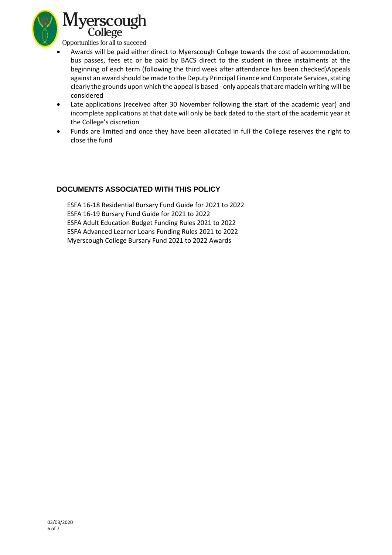

• Awards will be paid either direct to Myerscough College towards the cost of accommodation, bus passes, fees etc or be paid by BACS direct to the student in three instalments at the beginning of each term (following the third week after attendance has been checked)Appeals against an award should be made to the Deputy Principal Finance and Corporate Services, stating clearly the grounds upon which the appeal is based - only appealsthat are madein writing will be considered

- Late applications (received after 30 November following the start of the academic year) and incomplete applications at that date will only be back dated to the start of the academic year at the College's discretion
- Funds are limited and once they have been allocated in full the College reserves the right to close the fund

# **DOCUMENTS ASSOCIATED WITH THIS POLICY**

 ESFA 16-18 Residential Bursary Fund Guide for 2021 to 2022 ESFA 16-19 Bursary Fund Guide for 2021 to 2022 ESFA Adult Education Budget Funding Rules 2021 to 2022 ESFA Advanced Learner Loans Funding Rules 2021 to 2022 Myerscough College Bursary Fund 2021 to 2022 Awards